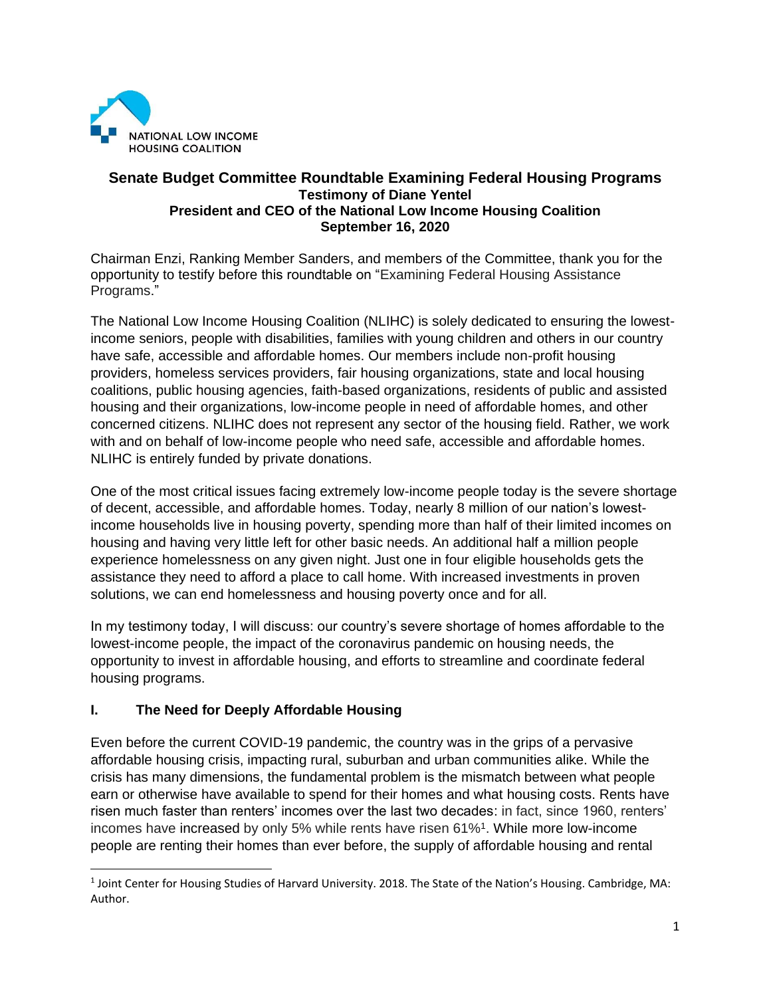

#### **Senate Budget Committee Roundtable Examining Federal Housing Programs Testimony of Diane Yentel President and CEO of the National Low Income Housing Coalition September 16, 2020**

Chairman Enzi, Ranking Member Sanders, and members of the Committee, thank you for the opportunity to testify before this roundtable on "Examining Federal Housing Assistance Programs."

The National Low Income Housing Coalition (NLIHC) is solely dedicated to ensuring the lowestincome seniors, people with disabilities, families with young children and others in our country have safe, accessible and affordable homes. Our members include non-profit housing providers, homeless services providers, fair housing organizations, state and local housing coalitions, public housing agencies, faith-based organizations, residents of public and assisted housing and their organizations, low-income people in need of affordable homes, and other concerned citizens. NLIHC does not represent any sector of the housing field. Rather, we work with and on behalf of low-income people who need safe, accessible and affordable homes. NLIHC is entirely funded by private donations.

One of the most critical issues facing extremely low-income people today is the severe shortage of decent, accessible, and affordable homes. Today, nearly 8 million of our nation's lowestincome households live in housing poverty, spending more than half of their limited incomes on housing and having very little left for other basic needs. An additional half a million people experience homelessness on any given night. Just one in four eligible households gets the assistance they need to afford a place to call home. With increased investments in proven solutions, we can end homelessness and housing poverty once and for all.

In my testimony today, I will discuss: our country's severe shortage of homes affordable to the lowest-income people, the impact of the coronavirus pandemic on housing needs, the opportunity to invest in affordable housing, and efforts to streamline and coordinate federal housing programs.

# **I. The Need for Deeply Affordable Housing**

Even before the current COVID-19 pandemic, the country was in the grips of a pervasive affordable housing crisis, impacting rural, suburban and urban communities alike. While the crisis has many dimensions, the fundamental problem is the mismatch between what people earn or otherwise have available to spend for their homes and what housing costs. Rents have risen much faster than renters' incomes over the last two decades: in fact, since 1960, renters' incomes have increased by only 5% while rents have risen 61%<sup>1</sup> . While more low-income people are renting their homes than ever before, the supply of affordable housing and rental

<sup>1</sup> Joint Center for Housing Studies of Harvard University. 2018. The State of the Nation's Housing. Cambridge, MA: Author.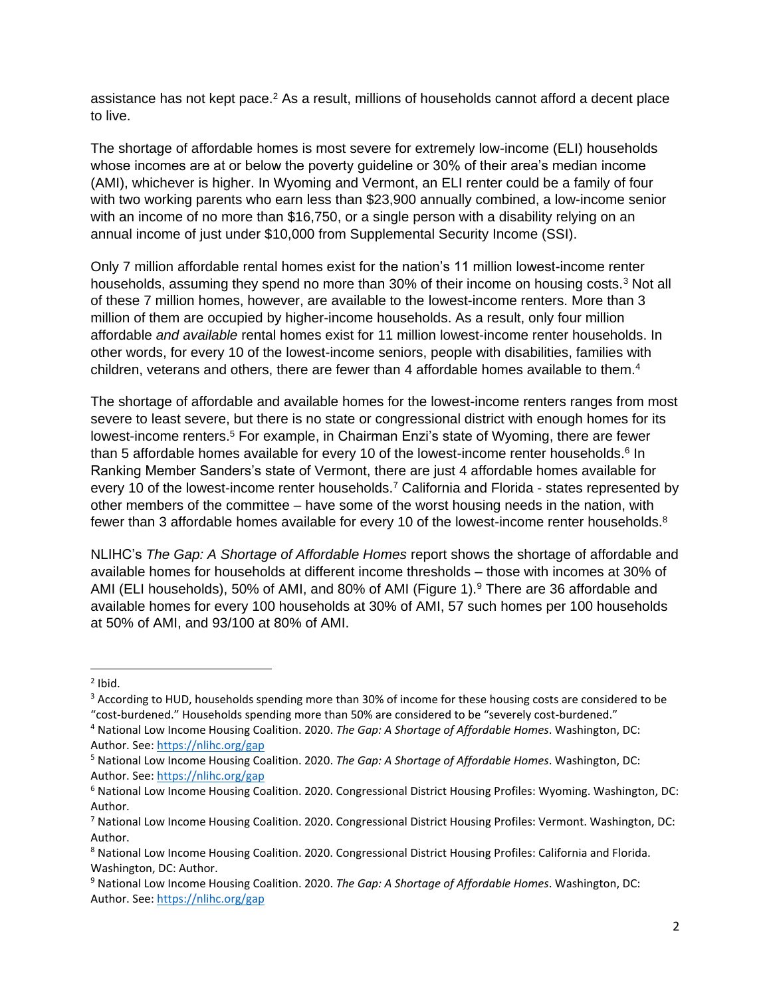assistance has not kept pace. $<sup>2</sup>$  As a result, millions of households cannot afford a decent place</sup> to live.

The shortage of affordable homes is most severe for extremely low-income (ELI) households whose incomes are at or below the poverty guideline or 30% of their area's median income (AMI), whichever is higher. In Wyoming and Vermont, an ELI renter could be a family of four with two working parents who earn less than \$23,900 annually combined, a low-income senior with an income of no more than \$16,750, or a single person with a disability relying on an annual income of just under \$10,000 from Supplemental Security Income (SSI).

Only 7 million affordable rental homes exist for the nation's 11 million lowest-income renter households, assuming they spend no more than 30% of their income on housing costs.<sup>3</sup> Not all of these 7 million homes, however, are available to the lowest-income renters. More than 3 million of them are occupied by higher-income households. As a result, only four million affordable *and available* rental homes exist for 11 million lowest-income renter households. In other words, for every 10 of the lowest-income seniors, people with disabilities, families with children, veterans and others, there are fewer than 4 affordable homes available to them.<sup>4</sup>

The shortage of affordable and available homes for the lowest-income renters ranges from most severe to least severe, but there is no state or congressional district with enough homes for its lowest-income renters.<sup>5</sup> For example, in Chairman Enzi's state of Wyoming, there are fewer than 5 affordable homes available for every 10 of the lowest-income renter households.<sup>6</sup> In Ranking Member Sanders's state of Vermont, there are just 4 affordable homes available for every 10 of the lowest-income renter households.<sup>7</sup> California and Florida - states represented by other members of the committee – have some of the worst housing needs in the nation, with fewer than 3 affordable homes available for every 10 of the lowest-income renter households.<sup>8</sup>

NLIHC's *The Gap: A Shortage of Affordable Homes* report shows the shortage of affordable and available homes for households at different income thresholds – those with incomes at 30% of AMI (ELI households), 50% of AMI, and 80% of AMI (Figure 1).<sup>9</sup> There are 36 affordable and available homes for every 100 households at 30% of AMI, 57 such homes per 100 households at 50% of AMI, and 93/100 at 80% of AMI.

 $2$  Ibid.

<sup>&</sup>lt;sup>3</sup> According to HUD, households spending more than 30% of income for these housing costs are considered to be "cost-burdened." Households spending more than 50% are considered to be "severely cost-burdened."

<sup>4</sup> National Low Income Housing Coalition. 2020. *The Gap: A Shortage of Affordable Homes*. Washington, DC: Author. See[: https://nlihc.org/gap](https://nlihc.org/gap)

<sup>5</sup> National Low Income Housing Coalition. 2020. *The Gap: A Shortage of Affordable Homes*. Washington, DC: Author. See[: https://nlihc.org/gap](https://nlihc.org/gap)

<sup>6</sup> National Low Income Housing Coalition. 2020. Congressional District Housing Profiles: Wyoming. Washington, DC: Author.

<sup>7</sup> National Low Income Housing Coalition. 2020. Congressional District Housing Profiles: Vermont. Washington, DC: Author.

<sup>8</sup> National Low Income Housing Coalition. 2020. Congressional District Housing Profiles: California and Florida. Washington, DC: Author.

<sup>9</sup> National Low Income Housing Coalition. 2020. *The Gap: A Shortage of Affordable Homes*. Washington, DC: Author. See[: https://nlihc.org/gap](https://nlihc.org/gap)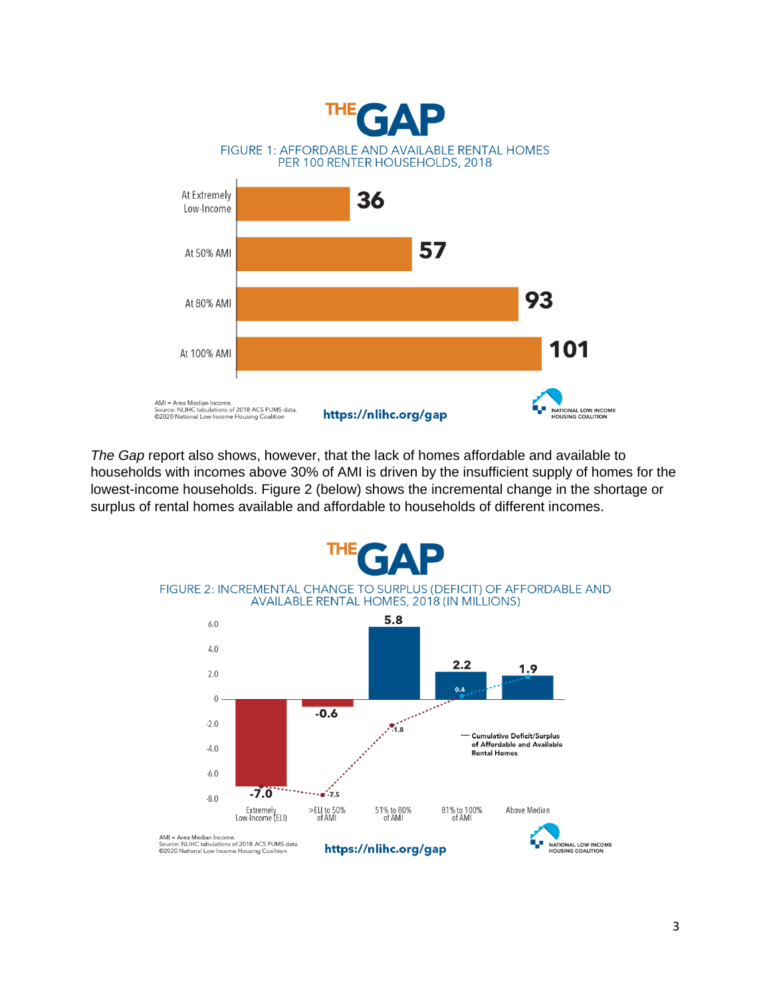

*The Gap* report also shows, however, that the lack of homes affordable and available to households with incomes above 30% of AMI is driven by the insufficient supply of homes for the lowest-income households. Figure 2 (below) shows the incremental change in the shortage or surplus of rental homes available and affordable to households of different incomes.

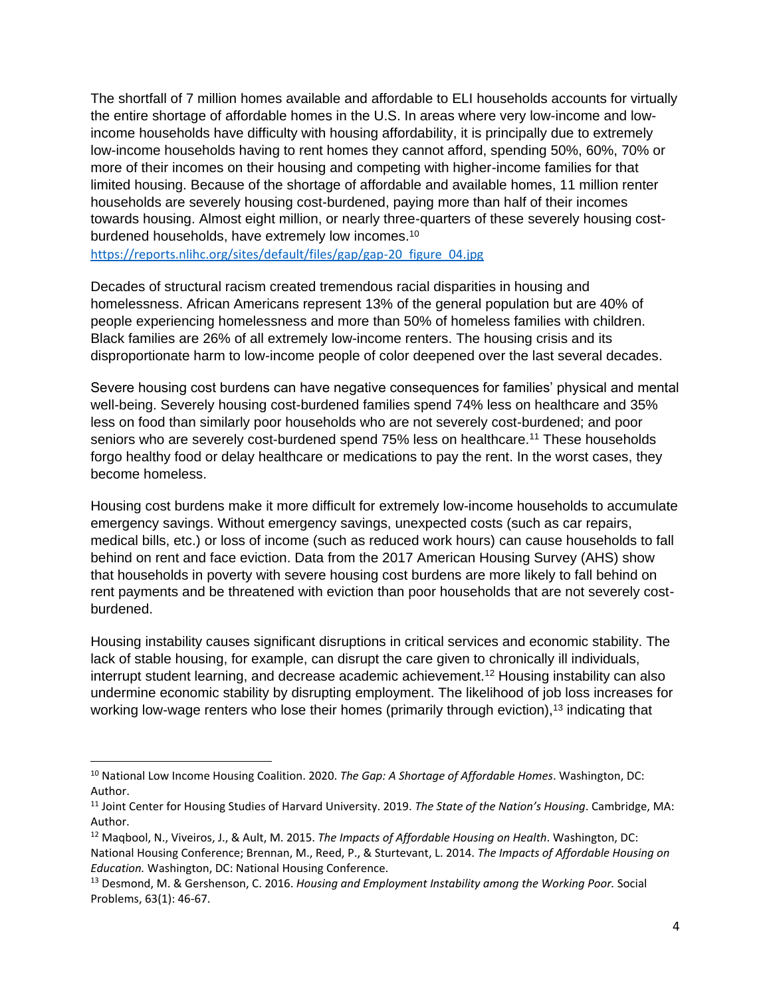The shortfall of 7 million homes available and affordable to ELI households accounts for virtually the entire shortage of affordable homes in the U.S. In areas where very low-income and lowincome households have difficulty with housing affordability, it is principally due to extremely low-income households having to rent homes they cannot afford, spending 50%, 60%, 70% or more of their incomes on their housing and competing with higher-income families for that limited housing. Because of the shortage of affordable and available homes, 11 million renter households are severely housing cost-burdened, paying more than half of their incomes towards housing. Almost eight million, or nearly three-quarters of these severely housing costburdened households, have extremely low incomes.<sup>10</sup>

[https://reports.nlihc.org/sites/default/files/gap/gap-20\\_figure\\_04.jpg](https://reports.nlihc.org/sites/default/files/gap/gap-20_figure_04.jpg)

Decades of structural racism created tremendous racial disparities in housing and homelessness. African Americans represent 13% of the general population but are 40% of people experiencing homelessness and more than 50% of homeless families with children. Black families are 26% of all extremely low-income renters. The housing crisis and its disproportionate harm to low-income people of color deepened over the last several decades.

Severe housing cost burdens can have negative consequences for families' physical and mental well-being. Severely housing cost-burdened families spend 74% less on healthcare and 35% less on food than similarly poor households who are not severely cost-burdened; and poor seniors who are severely cost-burdened spend 75% less on healthcare.<sup>11</sup> These households forgo healthy food or delay healthcare or medications to pay the rent. In the worst cases, they become homeless.

Housing cost burdens make it more difficult for extremely low-income households to accumulate emergency savings. Without emergency savings, unexpected costs (such as car repairs, medical bills, etc.) or loss of income (such as reduced work hours) can cause households to fall behind on rent and face eviction. Data from the 2017 American Housing Survey (AHS) show that households in poverty with severe housing cost burdens are more likely to fall behind on rent payments and be threatened with eviction than poor households that are not severely costburdened.

Housing instability causes significant disruptions in critical services and economic stability. The lack of stable housing, for example, can disrupt the care given to chronically ill individuals, interrupt student learning, and decrease academic achievement.<sup>12</sup> Housing instability can also undermine economic stability by disrupting employment. The likelihood of job loss increases for working low-wage renters who lose their homes (primarily through eviction),<sup>13</sup> indicating that

<sup>10</sup> National Low Income Housing Coalition. 2020. *The Gap: A Shortage of Affordable Homes*. Washington, DC: Author.

<sup>11</sup> Joint Center for Housing Studies of Harvard University. 2019. *The State of the Nation's Housing*. Cambridge, MA: Author.

<sup>12</sup> Maqbool, N., Viveiros, J., & Ault, M. 2015. *The Impacts of Affordable Housing on Health*. Washington, DC: National Housing Conference; Brennan, M., Reed, P., & Sturtevant, L. 2014. *The Impacts of Affordable Housing on Education.* Washington, DC: National Housing Conference.

<sup>13</sup> Desmond, M. & Gershenson, C. 2016. *Housing and Employment Instability among the Working Poor.* Social Problems, 63(1): 46-67.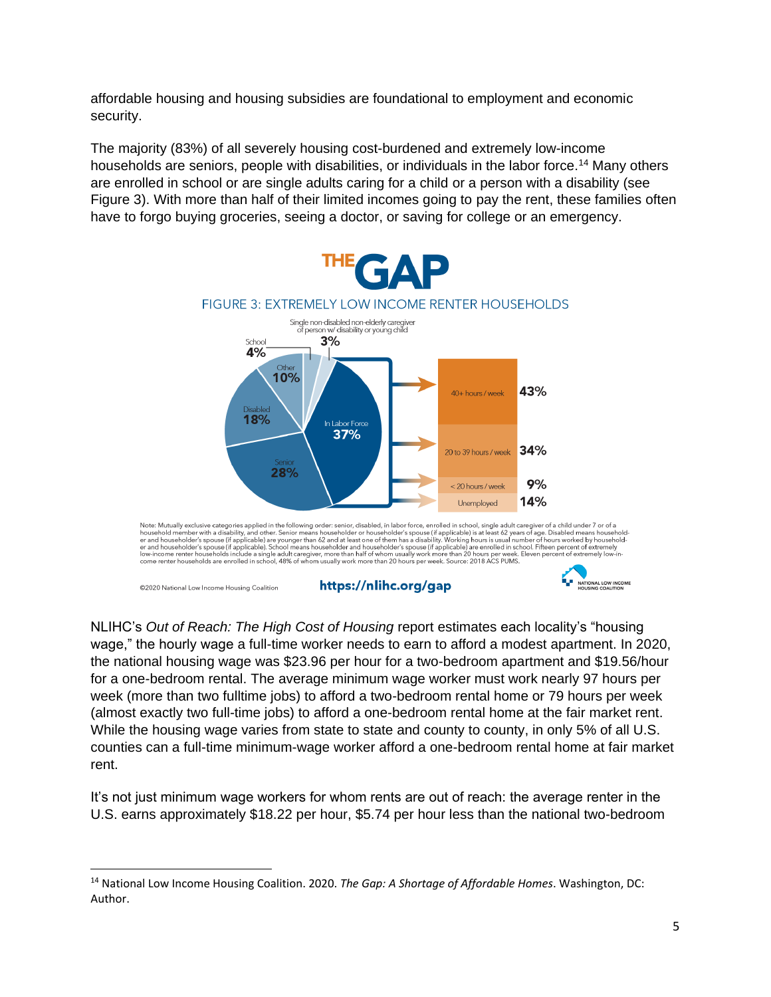affordable housing and housing subsidies are foundational to employment and economic security.

The majority (83%) of all severely housing cost-burdened and extremely low-income households are seniors, people with disabilities, or individuals in the labor force.<sup>14</sup> Many others are enrolled in school or are single adults caring for a child or a person with a disability (see Figure 3). With more than half of their limited incomes going to pay the rent, these families often have to forgo buying groceries, seeing a doctor, or saving for college or an emergency.



NLIHC's *Out of Reach: The High Cost of Housing* report estimates each locality's "housing wage," the hourly wage a full-time worker needs to earn to afford a modest apartment. In 2020, the national housing wage was \$23.96 per hour for a two-bedroom apartment and \$19.56/hour for a one-bedroom rental. The average minimum wage worker must work nearly 97 hours per week (more than two fulltime jobs) to afford a two-bedroom rental home or 79 hours per week (almost exactly two full-time jobs) to afford a one-bedroom rental home at the fair market rent. While the housing wage varies from state to state and county to county, in only 5% of all U.S. counties can a full-time minimum-wage worker afford a one-bedroom rental home at fair market rent.

It's not just minimum wage workers for whom rents are out of reach: the average renter in the U.S. earns approximately \$18.22 per hour, \$5.74 per hour less than the national two-bedroom

<sup>14</sup> National Low Income Housing Coalition. 2020. *The Gap: A Shortage of Affordable Homes*. Washington, DC: Author.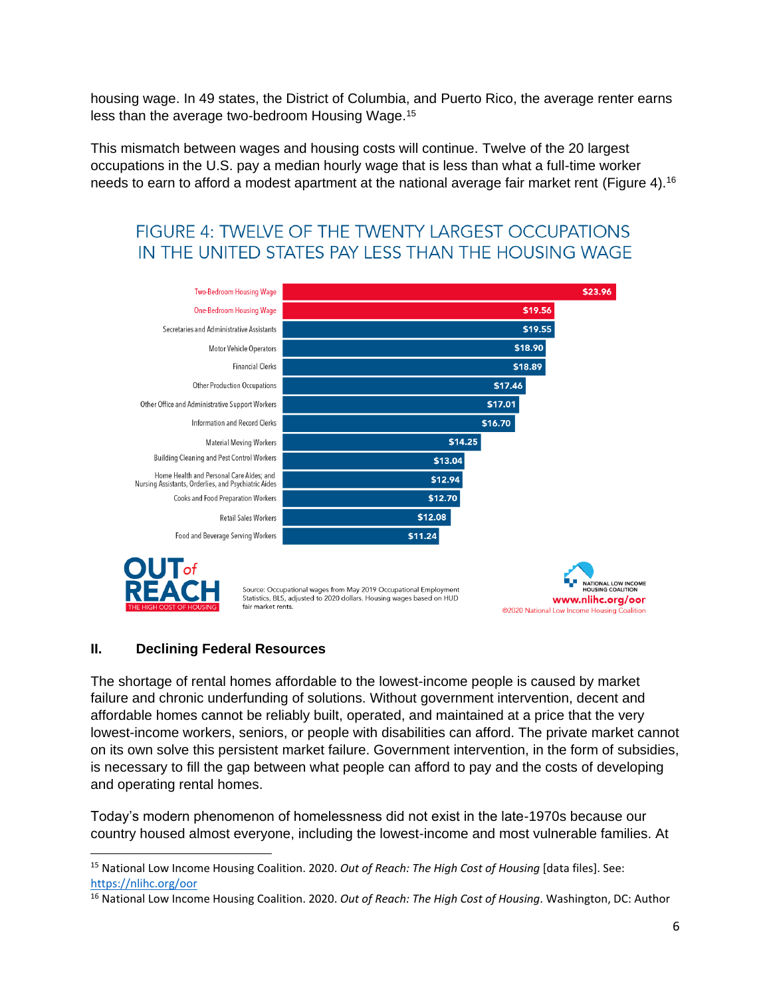housing wage. In 49 states, the District of Columbia, and Puerto Rico, the average renter earns less than the average two-bedroom Housing Wage.<sup>15</sup>

This mismatch between wages and housing costs will continue. Twelve of the 20 largest occupations in the U.S. pay a median hourly wage that is less than what a full-time worker needs to earn to afford a modest apartment at the national average fair market rent (Figure 4).<sup>16</sup>

# **FIGURE 4: TWELVE OF THE TWENTY LARGEST OCCUPATIONS** IN THE UNITED STATES PAY LESS THAN THE HOUSING WAGE





Source: Occupational wages from May 2019 Occupational Employment Statistics, BLS, adjusted to 2020 dollars. Housing wages based on HUD fair market rents.



# **II. Declining Federal Resources**

The shortage of rental homes affordable to the lowest-income people is caused by market failure and chronic underfunding of solutions. Without government intervention, decent and affordable homes cannot be reliably built, operated, and maintained at a price that the very lowest-income workers, seniors, or people with disabilities can afford. The private market cannot on its own solve this persistent market failure. Government intervention, in the form of subsidies, is necessary to fill the gap between what people can afford to pay and the costs of developing and operating rental homes.

Today's modern phenomenon of homelessness did not exist in the late-1970s because our country housed almost everyone, including the lowest-income and most vulnerable families. At

<sup>15</sup> National Low Income Housing Coalition. 2020. *Out of Reach: The High Cost of Housing* [data files]. See: <https://nlihc.org/oor>

<sup>16</sup> National Low Income Housing Coalition. 2020. *Out of Reach: The High Cost of Housing*. Washington, DC: Author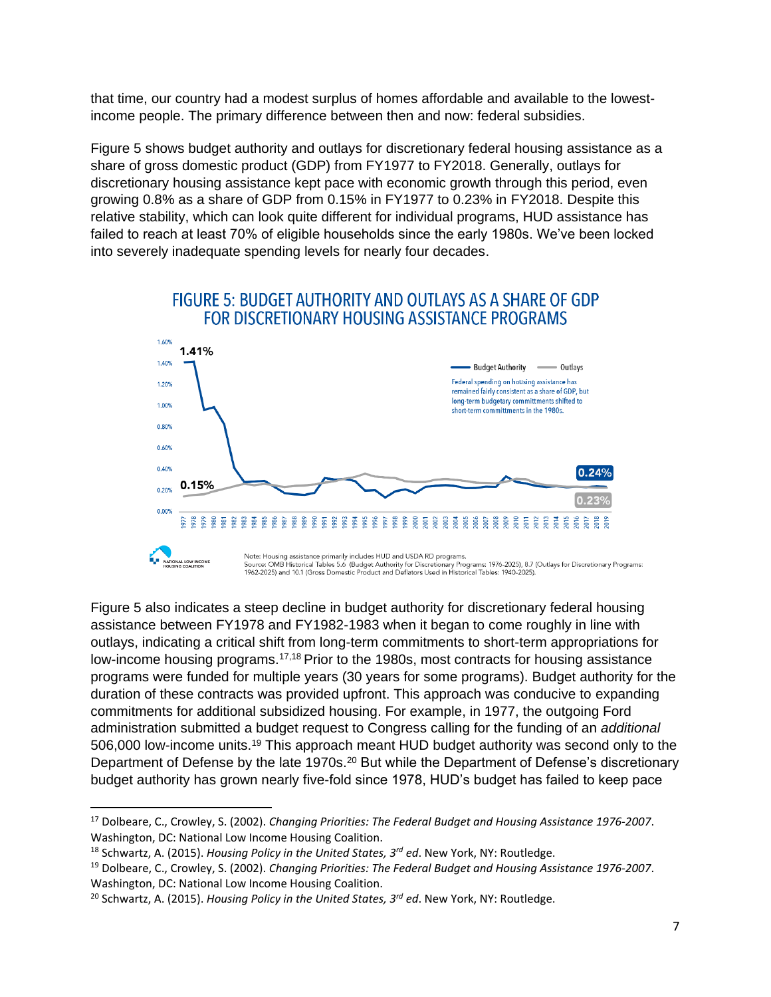that time, our country had a modest surplus of homes affordable and available to the lowestincome people. The primary difference between then and now: federal subsidies.

Figure 5 shows budget authority and outlays for discretionary federal housing assistance as a share of gross domestic product (GDP) from FY1977 to FY2018. Generally, outlays for discretionary housing assistance kept pace with economic growth through this period, even growing 0.8% as a share of GDP from 0.15% in FY1977 to 0.23% in FY2018. Despite this relative stability, which can look quite different for individual programs, HUD assistance has failed to reach at least 70% of eligible households since the early 1980s. We've been locked into severely inadequate spending levels for nearly four decades.



Figure 5 also indicates a steep decline in budget authority for discretionary federal housing assistance between FY1978 and FY1982-1983 when it began to come roughly in line with outlays, indicating a critical shift from long-term commitments to short-term appropriations for low-income housing programs.17,18 Prior to the 1980s, most contracts for housing assistance programs were funded for multiple years (30 years for some programs). Budget authority for the duration of these contracts was provided upfront. This approach was conducive to expanding commitments for additional subsidized housing. For example, in 1977, the outgoing Ford administration submitted a budget request to Congress calling for the funding of an *additional* 506,000 low-income units.<sup>19</sup> This approach meant HUD budget authority was second only to the Department of Defense by the late 1970s.<sup>20</sup> But while the Department of Defense's discretionary budget authority has grown nearly five-fold since 1978, HUD's budget has failed to keep pace

<sup>17</sup> Dolbeare, C., Crowley, S. (2002). *Changing Priorities: The Federal Budget and Housing Assistance 1976-2007*. Washington, DC: National Low Income Housing Coalition.

<sup>18</sup> Schwartz, A. (2015). *Housing Policy in the United States, 3rd ed*. New York, NY: Routledge.

<sup>19</sup> Dolbeare, C., Crowley, S. (2002). *Changing Priorities: The Federal Budget and Housing Assistance 1976-2007*. Washington, DC: National Low Income Housing Coalition.

<sup>20</sup> Schwartz, A. (2015). *Housing Policy in the United States, 3rd ed*. New York, NY: Routledge.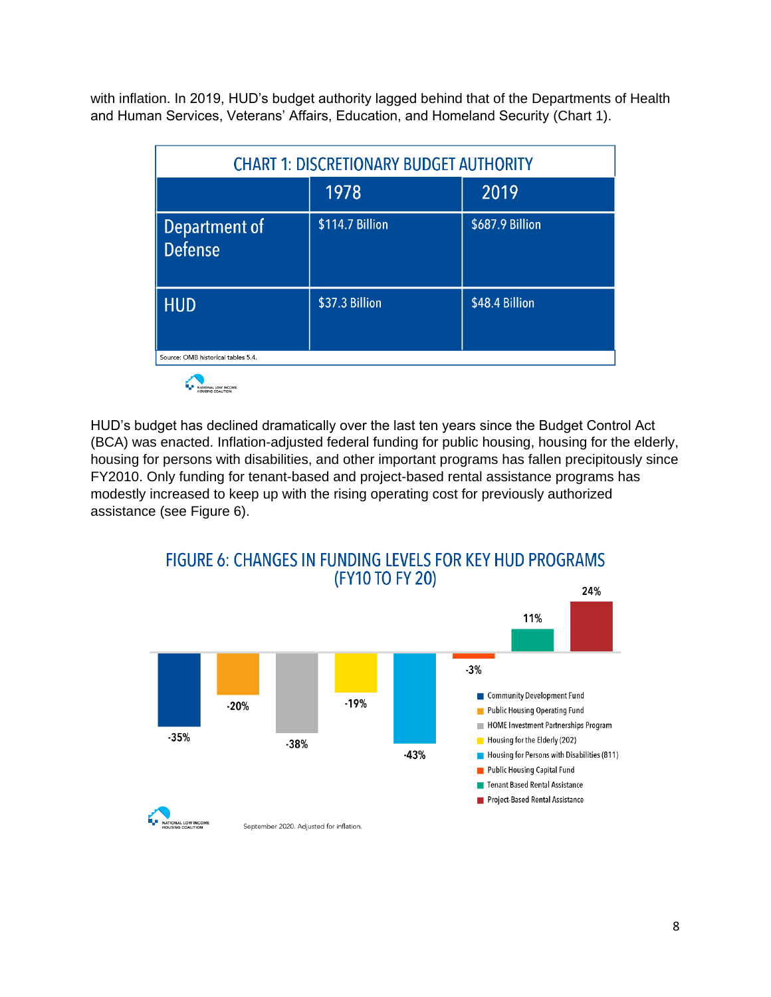with inflation. In 2019, HUD's budget authority lagged behind that of the Departments of Health and Human Services, Veterans' Affairs, Education, and Homeland Security (Chart 1).

| <b>CHART 1: DISCRETIONARY BUDGET AUTHORITY</b> |                 |                 |
|------------------------------------------------|-----------------|-----------------|
|                                                | 1978            | 2019            |
| Department of<br>Defense                       | \$114.7 Billion | \$687.9 Billion |
| <b>HUD</b>                                     | \$37.3 Billion  | \$48.4 Billion  |
| Source: OMB historical tables 5.4.             |                 |                 |

HUD's budget has declined dramatically over the last ten years since the Budget Control Act (BCA) was enacted. Inflation-adjusted federal funding for public housing, housing for the elderly, housing for persons with disabilities, and other important programs has fallen precipitously since FY2010. Only funding for tenant-based and project-based rental assistance programs has modestly increased to keep up with the rising operating cost for previously authorized assistance (see Figure 6).

**FIGURE 6: CHANGES IN FUNDING LEVELS FOR KEY HUD PROGRAMS** (FY10 TO FY 20)

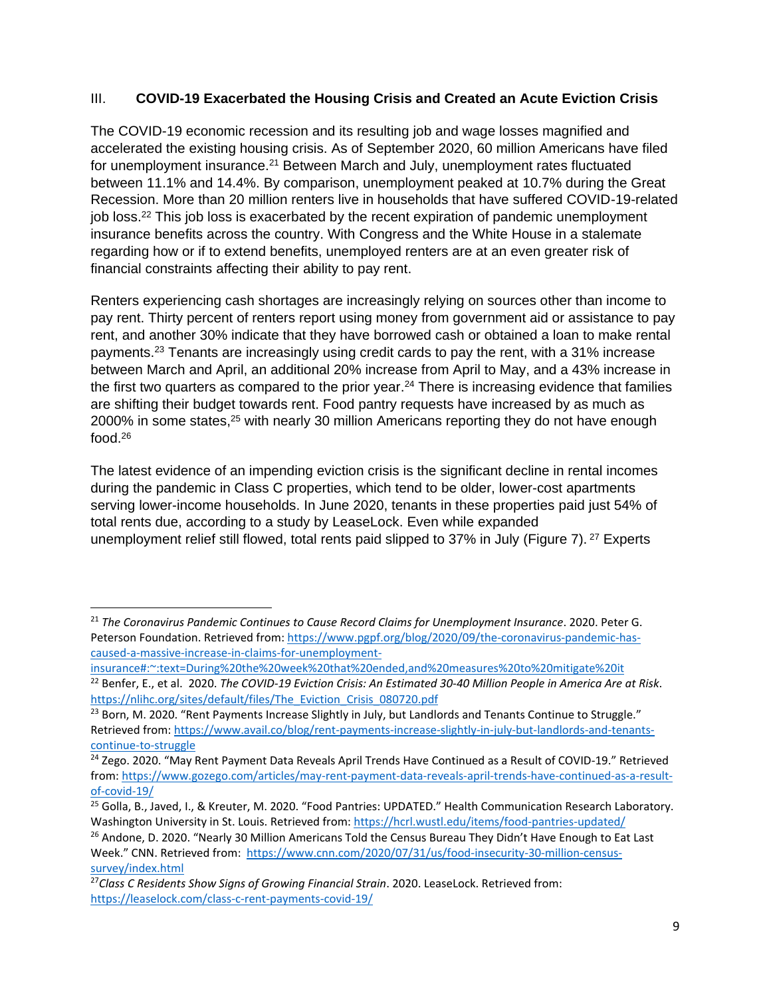## III. **COVID-19 Exacerbated the Housing Crisis and Created an Acute Eviction Crisis**

The COVID-19 economic recession and its resulting job and wage losses magnified and accelerated the existing housing crisis. As of September 2020, 60 million Americans have filed for unemployment insurance.<sup>21</sup> Between March and July, unemployment rates fluctuated between 11.1% and 14.4%. By comparison, unemployment peaked at 10.7% during the Great Recession. More than 20 million renters live in households that have suffered COVID-19-related job loss.<sup>22</sup> This job loss is exacerbated by the recent expiration of pandemic unemployment insurance benefits across the country. With Congress and the White House in a stalemate regarding how or if to extend benefits, unemployed renters are at an even greater risk of financial constraints affecting their ability to pay rent.

Renters experiencing cash shortages are increasingly relying on sources other than income to pay rent. Thirty percent of renters report using money from government aid or assistance to pay rent, and another 30% indicate that they have borrowed cash or obtained a loan to make rental payments.<sup>23</sup> Tenants are increasingly using credit cards to pay the rent, with a 31% increase between March and April, an additional 20% increase from April to May, and a 43% increase in the first two quarters as compared to the prior year.<sup>24</sup> There is increasing evidence that families are shifting their budget towards rent. Food pantry requests have increased by as much as 2000% in some states,<sup>25</sup> with nearly 30 million Americans reporting they do not have enough food. 26

The latest evidence of an impending eviction crisis is the significant decline in rental incomes during the pandemic in Class C properties, which tend to be older, lower-cost apartments serving lower-income households. In June 2020, tenants in these properties paid just 54% of total rents due, according to a study by LeaseLock. Even while expanded unemployment relief still flowed, total rents paid slipped to 37% in July (Figure 7).<sup>27</sup> Experts

<sup>21</sup> *The Coronavirus Pandemic Continues to Cause Record Claims for Unemployment Insurance*. 2020. Peter G. Peterson Foundation. Retrieved from[: https://www.pgpf.org/blog/2020/09/the-coronavirus-pandemic-has](https://www.pgpf.org/blog/2020/09/the-coronavirus-pandemic-has-caused-a-massive-increase-in-claims-for-unemployment-insurance#:~:text=During%20the%20week%20that%20ended,and%20measures%20to%20mitigate%20it)[caused-a-massive-increase-in-claims-for-unemployment-](https://www.pgpf.org/blog/2020/09/the-coronavirus-pandemic-has-caused-a-massive-increase-in-claims-for-unemployment-insurance#:~:text=During%20the%20week%20that%20ended,and%20measures%20to%20mitigate%20it)

[insurance#:~:text=During%20the%20week%20that%20ended,and%20measures%20to%20mitigate%20it](https://www.pgpf.org/blog/2020/09/the-coronavirus-pandemic-has-caused-a-massive-increase-in-claims-for-unemployment-insurance#:~:text=During%20the%20week%20that%20ended,and%20measures%20to%20mitigate%20it)

<sup>22</sup> Benfer, E., et al. 2020. *The COVID-19 Eviction Crisis: An Estimated 30-40 Million People in America Are at Risk*. [https://nlihc.org/sites/default/files/The\\_Eviction\\_Crisis\\_080720.pdf](https://nlihc.org/sites/default/files/The_Eviction_Crisis_080720.pdf)

 $23$  Born, M. 2020. "Rent Payments Increase Slightly in July, but Landlords and Tenants Continue to Struggle." Retrieved from: [https://www.avail.co/blog/rent-payments-increase-slightly-in-july-but-landlords-and-tenants](https://www.avail.co/blog/rent-payments-increase-slightly-in-july-but-landlords-and-tenants-continue-to-struggle)[continue-to-struggle](https://www.avail.co/blog/rent-payments-increase-slightly-in-july-but-landlords-and-tenants-continue-to-struggle) 

<sup>&</sup>lt;sup>24</sup> Zego. 2020. "May Rent Payment Data Reveals April Trends Have Continued as a Result of COVID-19." Retrieved from[: https://www.gozego.com/articles/may-rent-payment-data-reveals-april-trends-have-continued-as-a-result](https://www.gozego.com/articles/may-rent-payment-data-reveals-april-trends-have-continued-as-a-result-of-covid-19/)[of-covid-19/](https://www.gozego.com/articles/may-rent-payment-data-reveals-april-trends-have-continued-as-a-result-of-covid-19/)

<sup>&</sup>lt;sup>25</sup> Golla, B., Javed, I., & Kreuter, M. 2020. "Food Pantries: UPDATED." Health Communication Research Laboratory. Washington University in St. Louis. Retrieved from:<https://hcrl.wustl.edu/items/food-pantries-updated/>

<sup>&</sup>lt;sup>26</sup> Andone, D. 2020. "Nearly 30 Million Americans Told the Census Bureau They Didn't Have Enough to Eat Last Week." CNN. Retrieved from: [https://www.cnn.com/2020/07/31/us/food-insecurity-30-million-census](https://www.cnn.com/2020/07/31/us/food-insecurity-30-million-census-survey/index.html)[survey/index.html](https://www.cnn.com/2020/07/31/us/food-insecurity-30-million-census-survey/index.html)

<sup>27</sup>*Class C Residents Show Signs of Growing Financial Strain*. 2020. LeaseLock. Retrieved from: <https://leaselock.com/class-c-rent-payments-covid-19/>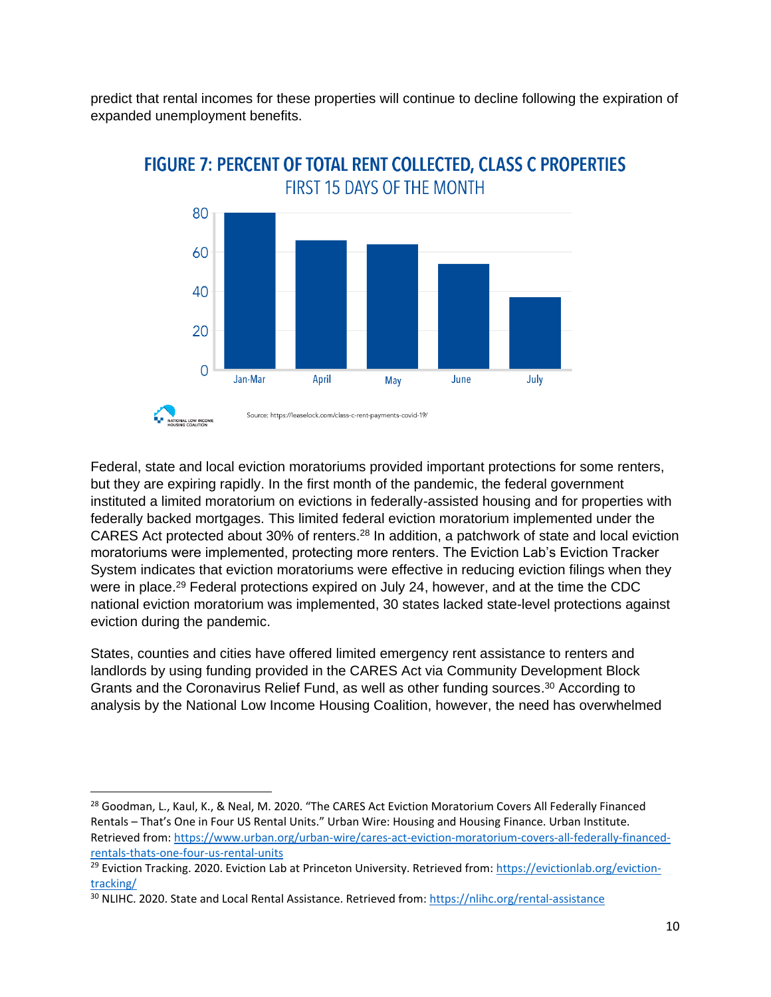predict that rental incomes for these properties will continue to decline following the expiration of expanded unemployment benefits.



# **FIGURE 7: PERCENT OF TOTAL RENT COLLECTED, CLASS C PROPERTIES FIRST 15 DAYS OF THE MONTH**

Federal, state and local eviction moratoriums provided important protections for some renters, but they are expiring rapidly. In the first month of the pandemic, the federal government instituted a limited moratorium on evictions in federally-assisted housing and for properties with federally backed mortgages. This limited federal eviction moratorium implemented under the CARES Act protected about 30% of renters.<sup>28</sup> In addition, a patchwork of state and local eviction moratoriums were implemented, protecting more renters. The Eviction Lab's Eviction Tracker System indicates that eviction moratoriums were effective in reducing eviction filings when they were in place.<sup>29</sup> Federal protections expired on July 24, however, and at the time the CDC national eviction moratorium was implemented, 30 states lacked state-level protections against eviction during the pandemic.

States, counties and cities have offered limited emergency rent assistance to renters and landlords by using funding provided in the CARES Act via Community Development Block Grants and the Coronavirus Relief Fund, as well as other funding sources. <sup>30</sup> According to analysis by the National Low Income Housing Coalition, however, the need has overwhelmed

<sup>&</sup>lt;sup>28</sup> Goodman, L., Kaul, K., & Neal, M. 2020. "The CARES Act Eviction Moratorium Covers All Federally Financed Rentals – That's One in Four US Rental Units." Urban Wire: Housing and Housing Finance. Urban Institute. Retrieved from: [https://www.urban.org/urban-wire/cares-act-eviction-moratorium-covers-all-federally-financed](https://www.urban.org/urban-wire/cares-act-eviction-moratorium-covers-all-federally-financed-rentals-thats-one-four-us-rental-units)[rentals-thats-one-four-us-rental-units](https://www.urban.org/urban-wire/cares-act-eviction-moratorium-covers-all-federally-financed-rentals-thats-one-four-us-rental-units)

<sup>&</sup>lt;sup>29</sup> Eviction Tracking. 2020. Eviction Lab at Princeton University. Retrieved from: [https://evictionlab.org/eviction](https://evictionlab.org/eviction-tracking/)[tracking/](https://evictionlab.org/eviction-tracking/)

<sup>&</sup>lt;sup>30</sup> NLIHC. 2020. State and Local Rental Assistance. Retrieved from:<https://nlihc.org/rental-assistance>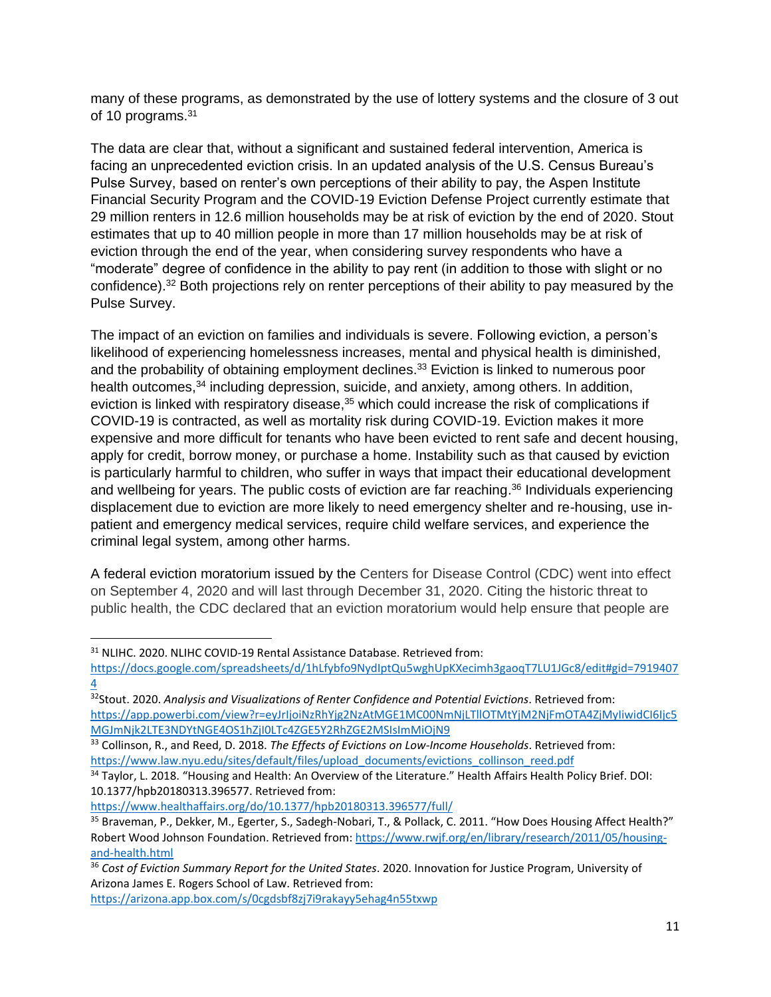many of these programs, as demonstrated by the use of lottery systems and the closure of 3 out of 10 programs.<sup>31</sup>

The data are clear that, without a significant and sustained federal intervention, America is facing an unprecedented eviction crisis. In an updated analysis of the U.S. Census Bureau's Pulse Survey, based on renter's own perceptions of their ability to pay, the Aspen Institute Financial Security Program and the COVID-19 Eviction Defense Project currently estimate that 29 million renters in 12.6 million households may be at risk of eviction by the end of 2020. Stout estimates that up to 40 million people in more than 17 million households may be at risk of eviction through the end of the year, when considering survey respondents who have a "moderate" degree of confidence in the ability to pay rent (in addition to those with slight or no confidence). <sup>32</sup> Both projections rely on renter perceptions of their ability to pay measured by the Pulse Survey.

The impact of an eviction on families and individuals is severe. Following eviction, a person's likelihood of experiencing homelessness increases, mental and physical health is diminished, and the probability of obtaining employment declines. <sup>33</sup> Eviction is linked to numerous poor health outcomes,<sup>34</sup> including depression, suicide, and anxiety, among others. In addition, eviction is linked with respiratory disease,<sup>35</sup> which could increase the risk of complications if COVID-19 is contracted, as well as mortality risk during COVID-19. Eviction makes it more expensive and more difficult for tenants who have been evicted to rent safe and decent housing, apply for credit, borrow money, or purchase a home. Instability such as that caused by eviction is particularly harmful to children, who suffer in ways that impact their educational development and wellbeing for years. The public costs of eviction are far reaching. <sup>36</sup> Individuals experiencing displacement due to eviction are more likely to need emergency shelter and re-housing, use inpatient and emergency medical services, require child welfare services, and experience the criminal legal system, among other harms.

A federal eviction moratorium issued by the Centers for Disease Control (CDC) went into effect on September 4, 2020 and will last through December 31, 2020. Citing the historic threat to public health, the CDC declared that an eviction moratorium would help ensure that people are

<sup>&</sup>lt;sup>31</sup> NLIHC. 2020. NLIHC COVID-19 Rental Assistance Database. Retrieved from:

[https://docs.google.com/spreadsheets/d/1hLfybfo9NydIptQu5wghUpKXecimh3gaoqT7LU1JGc8/edit#gid=7919407](https://docs.google.com/spreadsheets/d/1hLfybfo9NydIptQu5wghUpKXecimh3gaoqT7LU1JGc8/edit#gid=79194074) [4](https://docs.google.com/spreadsheets/d/1hLfybfo9NydIptQu5wghUpKXecimh3gaoqT7LU1JGc8/edit#gid=79194074)

<sup>32</sup>Stout. 2020. *Analysis and Visualizations of Renter Confidence and Potential Evictions*. Retrieved from: [https://app.powerbi.com/view?r=eyJrIjoiNzRhYjg2NzAtMGE1MC00NmNjLTllOTMtYjM2NjFmOTA4ZjMyIiwidCI6Ijc5](https://app.powerbi.com/view?r=eyJrIjoiNzRhYjg2NzAtMGE1MC00NmNjLTllOTMtYjM2NjFmOTA4ZjMyIiwidCI6Ijc5MGJmNjk2LTE3NDYtNGE4OS1hZjI0LTc4ZGE5Y2RhZGE2MSIsImMiOjN9) [MGJmNjk2LTE3NDYtNGE4OS1hZjI0LTc4ZGE5Y2RhZGE2MSIsImMiOjN9](https://app.powerbi.com/view?r=eyJrIjoiNzRhYjg2NzAtMGE1MC00NmNjLTllOTMtYjM2NjFmOTA4ZjMyIiwidCI6Ijc5MGJmNjk2LTE3NDYtNGE4OS1hZjI0LTc4ZGE5Y2RhZGE2MSIsImMiOjN9)

<sup>33</sup> Collinson, R., and Reed, D. 2018. *The Effects of Evictions on Low-Income Households*. Retrieved from: [https://www.law.nyu.edu/sites/default/files/upload\\_documents/evictions\\_collinson\\_reed.pdf](https://www.law.nyu.edu/sites/default/files/upload_documents/evictions_collinson_reed.pdf)

<sup>34</sup> Taylor, L. 2018. "Housing and Health: An Overview of the Literature." Health Affairs Health Policy Brief. DOI: 10.1377/hpb20180313.396577. Retrieved from:

<https://www.healthaffairs.org/do/10.1377/hpb20180313.396577/full/>

<sup>&</sup>lt;sup>35</sup> Braveman, P., Dekker, M., Egerter, S., Sadegh-Nobari, T., & Pollack, C. 2011. "How Does Housing Affect Health?" Robert Wood Johnson Foundation. Retrieved from[: https://www.rwjf.org/en/library/research/2011/05/housing](https://www.rwjf.org/en/library/research/2011/05/housing-and-health.html)[and-health.html](https://www.rwjf.org/en/library/research/2011/05/housing-and-health.html)

<sup>36</sup> *Cost of Eviction Summary Report for the United States*. 2020. Innovation for Justice Program, University of Arizona James E. Rogers School of Law. Retrieved from:

<https://arizona.app.box.com/s/0cgdsbf8zj7i9rakayy5ehag4n55txwp>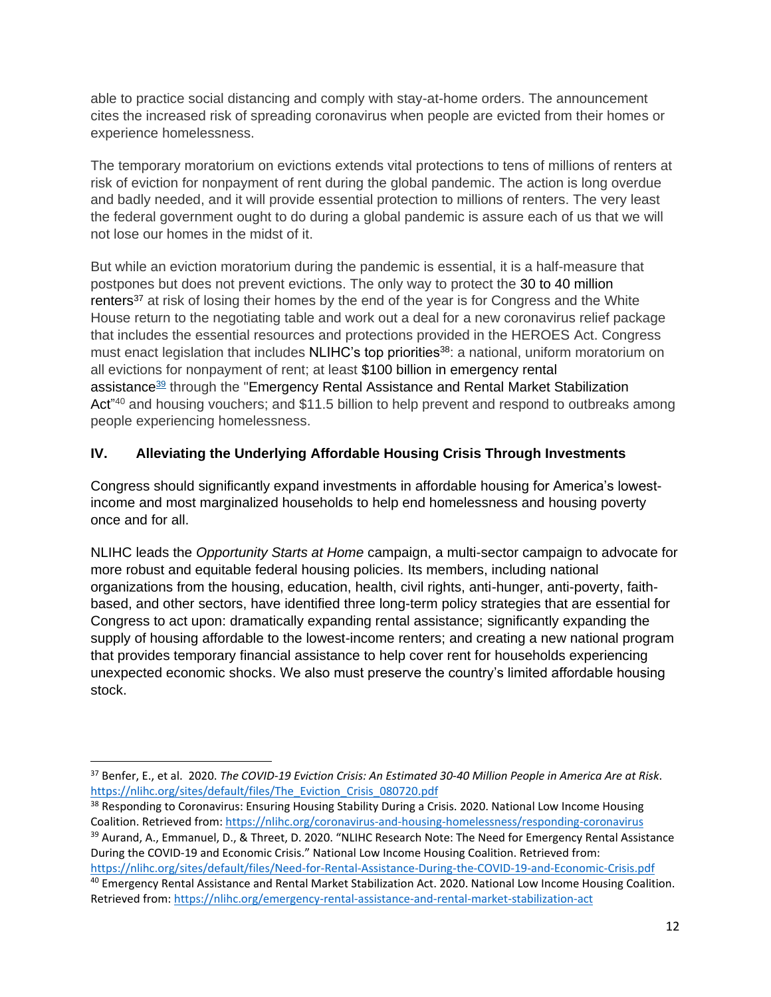able to practice social distancing and comply with stay-at-home orders. The announcement cites the increased risk of spreading coronavirus when people are evicted from their homes or experience homelessness.

The temporary moratorium on evictions extends vital protections to tens of millions of renters at risk of eviction for nonpayment of rent during the global pandemic. The action is long overdue and badly needed, and it will provide essential protection to millions of renters. The very least the federal government ought to do during a global pandemic is assure each of us that we will not lose our homes in the midst of it.

But while an eviction moratorium during the pandemic is essential, it is a half-measure that postpones but does not prevent evictions. The only way to protect the 30 to 40 million renters<sup>37</sup> at risk of losing their homes by the end of the year is for Congress and the White House return to the negotiating table and work out a deal for a new coronavirus relief package that includes the essential resources and protections provided in the HEROES Act. Congress must enact legislation that includes NLIHC's top priorities<sup>38</sup>: a national, uniform moratorium on all evictions for nonpayment of rent; at least \$100 billion in emergency rental assistance<sup>39</sup> through the "Emergency Rental Assistance and Rental Market Stabilization Act<sup>"40</sup> and housing vouchers; and \$11.5 billion to help prevent and respond to outbreaks among people experiencing homelessness.

# **IV. Alleviating the Underlying Affordable Housing Crisis Through Investments**

Congress should significantly expand investments in affordable housing for America's lowestincome and most marginalized households to help end homelessness and housing poverty once and for all.

NLIHC leads the *Opportunity Starts at Home* campaign, a multi-sector campaign to advocate for more robust and equitable federal housing policies. Its members, including national organizations from the housing, education, health, civil rights, anti-hunger, anti-poverty, faithbased, and other sectors, have identified three long-term policy strategies that are essential for Congress to act upon: dramatically expanding rental assistance; significantly expanding the supply of housing affordable to the lowest-income renters; and creating a new national program that provides temporary financial assistance to help cover rent for households experiencing unexpected economic shocks. We also must preserve the country's limited affordable housing stock.

<sup>37</sup> Benfer, E., et al. 2020. *The COVID-19 Eviction Crisis: An Estimated 30-40 Million People in America Are at Risk*. [https://nlihc.org/sites/default/files/The\\_Eviction\\_Crisis\\_080720.pdf](https://nlihc.org/sites/default/files/The_Eviction_Crisis_080720.pdf)

<sup>&</sup>lt;sup>38</sup> Responding to Coronavirus: Ensuring Housing Stability During a Crisis. 2020. National Low Income Housing Coalition. Retrieved from:<https://nlihc.org/coronavirus-and-housing-homelessness/responding-coronavirus> <sup>39</sup> Aurand, A., Emmanuel, D., & Threet, D. 2020. "NLIHC Research Note: The Need for Emergency Rental Assistance During the COVID-19 and Economic Crisis." National Low Income Housing Coalition. Retrieved from:

<https://nlihc.org/sites/default/files/Need-for-Rental-Assistance-During-the-COVID-19-and-Economic-Crisis.pdf> <sup>40</sup> Emergency Rental Assistance and Rental Market Stabilization Act. 2020. National Low Income Housing Coalition. Retrieved from:<https://nlihc.org/emergency-rental-assistance-and-rental-market-stabilization-act>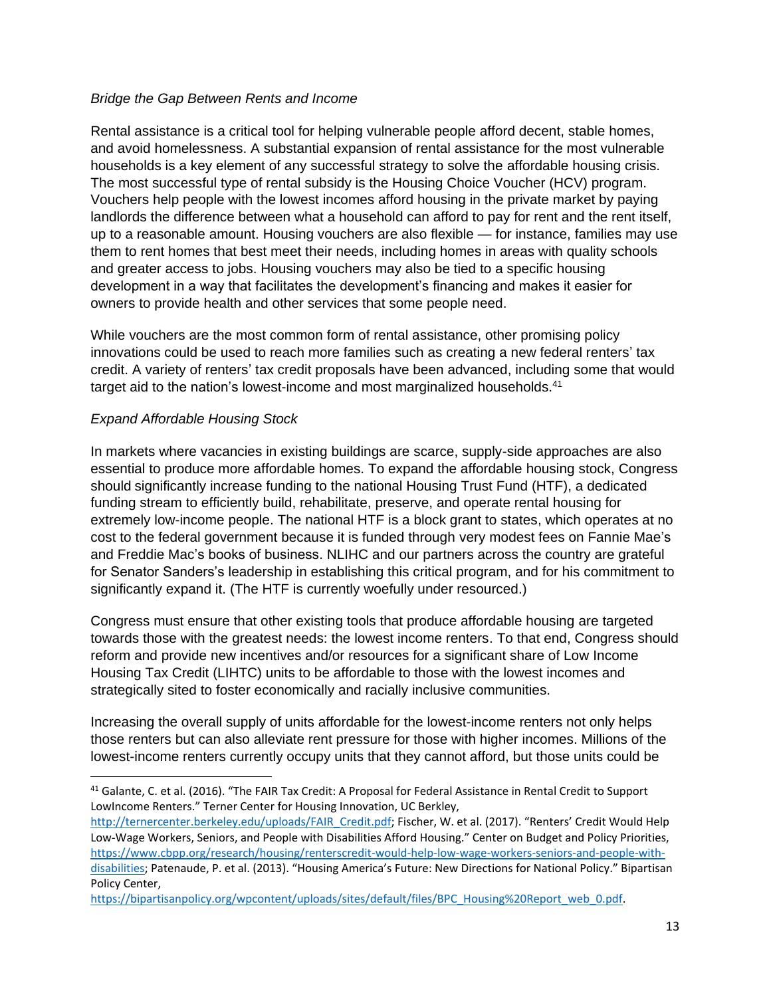#### *Bridge the Gap Between Rents and Income*

Rental assistance is a critical tool for helping vulnerable people afford decent, stable homes, and avoid homelessness. A substantial expansion of rental assistance for the most vulnerable households is a key element of any successful strategy to solve the affordable housing crisis. The most successful type of rental subsidy is the Housing Choice Voucher (HCV) program. Vouchers help people with the lowest incomes afford housing in the private market by paying landlords the difference between what a household can afford to pay for rent and the rent itself, up to a reasonable amount. Housing vouchers are also flexible — for instance, families may use them to rent homes that best meet their needs, including homes in areas with quality schools and greater access to jobs. Housing vouchers may also be tied to a specific housing development in a way that facilitates the development's financing and makes it easier for owners to provide health and other services that some people need.

While vouchers are the most common form of rental assistance, other promising policy innovations could be used to reach more families such as creating a new federal renters' tax credit. A variety of renters' tax credit proposals have been advanced, including some that would target aid to the nation's lowest-income and most marginalized households.<sup>41</sup>

## *Expand Affordable Housing Stock*

In markets where vacancies in existing buildings are scarce, supply-side approaches are also essential to produce more affordable homes. To expand the affordable housing stock, Congress should significantly increase funding to the national Housing Trust Fund (HTF), a dedicated funding stream to efficiently build, rehabilitate, preserve, and operate rental housing for extremely low-income people. The national HTF is a block grant to states, which operates at no cost to the federal government because it is funded through very modest fees on Fannie Mae's and Freddie Mac's books of business. NLIHC and our partners across the country are grateful for Senator Sanders's leadership in establishing this critical program, and for his commitment to significantly expand it. (The HTF is currently woefully under resourced.)

Congress must ensure that other existing tools that produce affordable housing are targeted towards those with the greatest needs: the lowest income renters. To that end, Congress should reform and provide new incentives and/or resources for a significant share of Low Income Housing Tax Credit (LIHTC) units to be affordable to those with the lowest incomes and strategically sited to foster economically and racially inclusive communities.

Increasing the overall supply of units affordable for the lowest-income renters not only helps those renters but can also alleviate rent pressure for those with higher incomes. Millions of the lowest-income renters currently occupy units that they cannot afford, but those units could be

<sup>41</sup> Galante, C. et al. (2016). "The FAIR Tax Credit: A Proposal for Federal Assistance in Rental Credit to Support LowIncome Renters." Terner Center for Housing Innovation, UC Berkley,

[http://ternercenter.berkeley.edu/uploads/FAIR\\_Credit.pdf;](http://ternercenter.berkeley.edu/uploads/FAIR_Credit.pdf) Fischer, W. et al. (2017). "Renters' Credit Would Help Low-Wage Workers, Seniors, and People with Disabilities Afford Housing." Center on Budget and Policy Priorities, [https://www.cbpp.org/research/housing/renterscredit-would-help-low-wage-workers-seniors-and-people-with](https://www.cbpp.org/research/housing/renterscredit-would-help-low-wage-workers-seniors-and-people-with-disabilities)[disabilities;](https://www.cbpp.org/research/housing/renterscredit-would-help-low-wage-workers-seniors-and-people-with-disabilities) Patenaude, P. et al. (2013). "Housing America's Future: New Directions for National Policy." Bipartisan Policy Center,

[https://bipartisanpolicy.org/wpcontent/uploads/sites/default/files/BPC\\_Housing%20Report\\_web\\_0.pdf.](https://bipartisanpolicy.org/wpcontent/uploads/sites/default/files/BPC_Housing%20Report_web_0.pdf)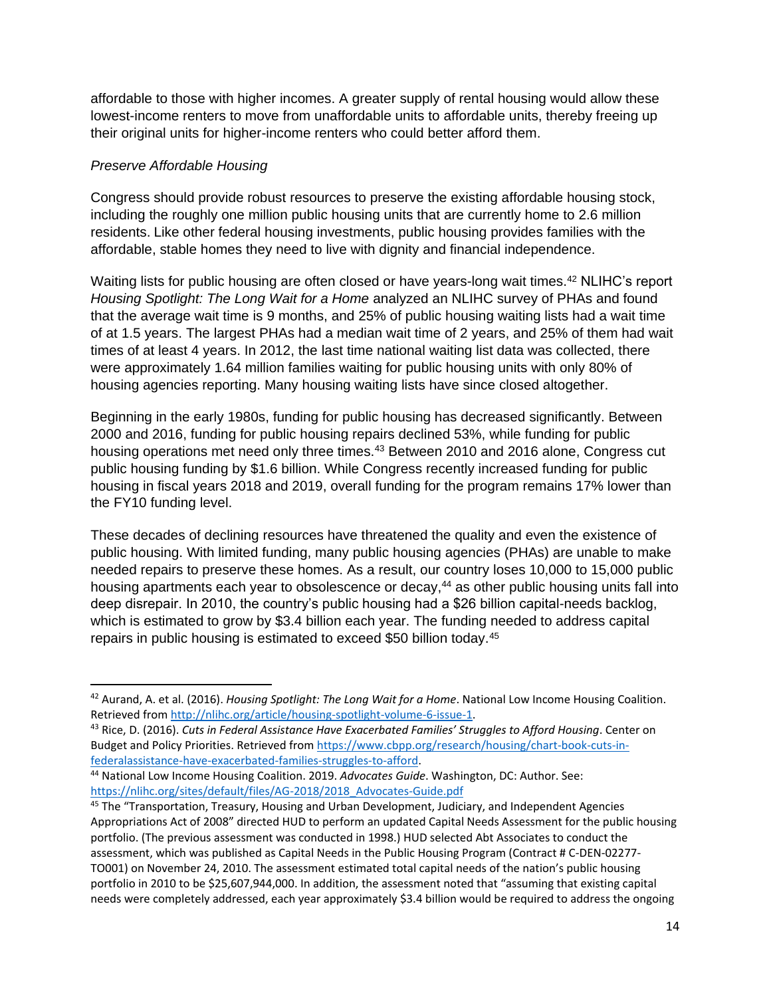affordable to those with higher incomes. A greater supply of rental housing would allow these lowest-income renters to move from unaffordable units to affordable units, thereby freeing up their original units for higher-income renters who could better afford them.

#### *Preserve Affordable Housing*

Congress should provide robust resources to preserve the existing affordable housing stock, including the roughly one million public housing units that are currently home to 2.6 million residents. Like other federal housing investments, public housing provides families with the affordable, stable homes they need to live with dignity and financial independence.

Waiting lists for public housing are often closed or have years-long wait times.<sup>42</sup> NLIHC's report *Housing Spotlight: The Long Wait for a Home* analyzed an NLIHC survey of PHAs and found that the average wait time is 9 months, and 25% of public housing waiting lists had a wait time of at 1.5 years. The largest PHAs had a median wait time of 2 years, and 25% of them had wait times of at least 4 years. In 2012, the last time national waiting list data was collected, there were approximately 1.64 million families waiting for public housing units with only 80% of housing agencies reporting. Many housing waiting lists have since closed altogether.

Beginning in the early 1980s, funding for public housing has decreased significantly. Between 2000 and 2016, funding for public housing repairs declined 53%, while funding for public housing operations met need only three times.<sup>43</sup> Between 2010 and 2016 alone, Congress cut public housing funding by \$1.6 billion. While Congress recently increased funding for public housing in fiscal years 2018 and 2019, overall funding for the program remains 17% lower than the FY10 funding level.

These decades of declining resources have threatened the quality and even the existence of public housing. With limited funding, many public housing agencies (PHAs) are unable to make needed repairs to preserve these homes. As a result, our country loses 10,000 to 15,000 public housing apartments each year to obsolescence or decay,<sup>44</sup> as other public housing units fall into deep disrepair. In 2010, the country's public housing had a \$26 billion capital-needs backlog, which is estimated to grow by \$3.4 billion each year. The funding needed to address capital repairs in public housing is estimated to exceed \$50 billion today.<sup>45</sup>

<sup>42</sup> Aurand, A. et al. (2016). *Housing Spotlight: The Long Wait for a Home*. National Low Income Housing Coalition. Retrieved fro[m http://nlihc.org/article/housing-spotlight-volume-6-issue-1.](http://nlihc.org/article/housing-spotlight-volume-6-issue-1) 

<sup>43</sup> Rice, D. (2016). *Cuts in Federal Assistance Have Exacerbated Families' Struggles to Afford Housing*. Center on Budget and Policy Priorities. Retrieved fro[m https://www.cbpp.org/research/housing/chart-book-cuts-in](https://www.cbpp.org/research/housing/chart-book-cuts-in-federalassistance-have-exacerbated-families-struggles-to-afford)[federalassistance-have-exacerbated-families-struggles-to-afford.](https://www.cbpp.org/research/housing/chart-book-cuts-in-federalassistance-have-exacerbated-families-struggles-to-afford)

<sup>44</sup> National Low Income Housing Coalition. 2019. *Advocates Guide*. Washington, DC: Author. See: [https://nlihc.org/sites/default/files/AG-2018/2018\\_Advocates-Guide.pdf](https://nlihc.org/sites/default/files/AG-2018/2018_Advocates-Guide.pdf)

<sup>&</sup>lt;sup>45</sup> The "Transportation, Treasury, Housing and Urban Development, Judiciary, and Independent Agencies Appropriations Act of 2008" directed HUD to perform an updated Capital Needs Assessment for the public housing portfolio. (The previous assessment was conducted in 1998.) HUD selected Abt Associates to conduct the assessment, which was published as Capital Needs in the Public Housing Program (Contract # C-DEN-02277- TO001) on November 24, 2010. The assessment estimated total capital needs of the nation's public housing portfolio in 2010 to be \$25,607,944,000. In addition, the assessment noted that "assuming that existing capital needs were completely addressed, each year approximately \$3.4 billion would be required to address the ongoing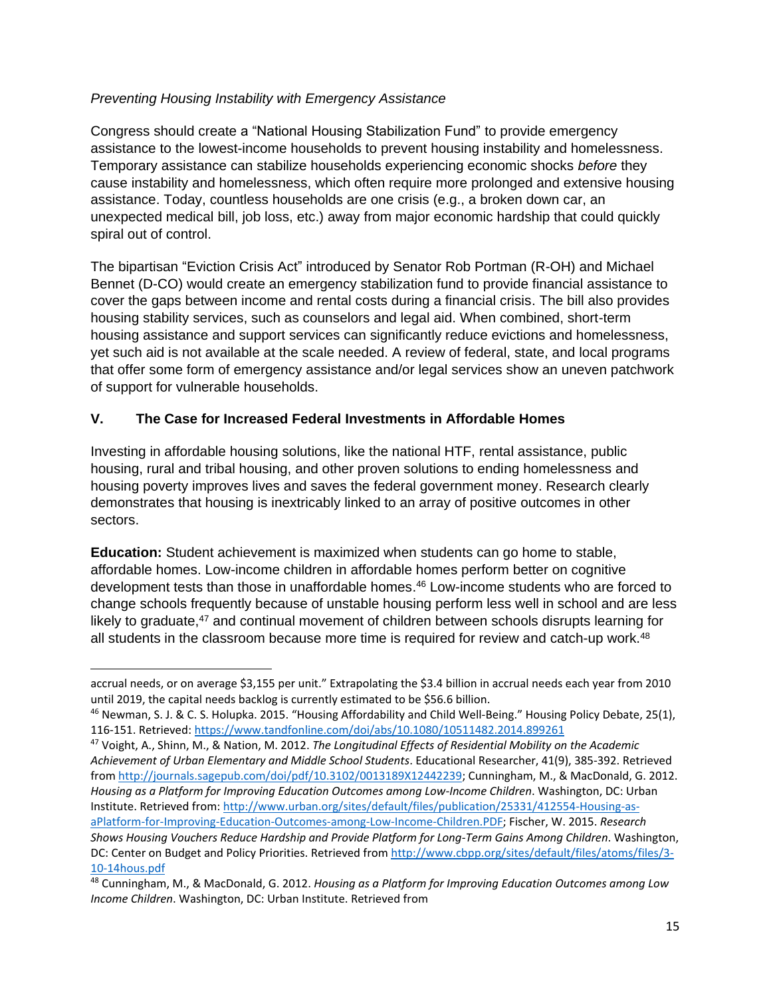## *Preventing Housing Instability with Emergency Assistance*

Congress should create a "National Housing Stabilization Fund" to provide emergency assistance to the lowest-income households to prevent housing instability and homelessness. Temporary assistance can stabilize households experiencing economic shocks *before* they cause instability and homelessness, which often require more prolonged and extensive housing assistance. Today, countless households are one crisis (e.g., a broken down car, an unexpected medical bill, job loss, etc.) away from major economic hardship that could quickly spiral out of control.

The bipartisan "Eviction Crisis Act" introduced by Senator Rob Portman (R-OH) and Michael Bennet (D-CO) would create an emergency stabilization fund to provide financial assistance to cover the gaps between income and rental costs during a financial crisis. The bill also provides housing stability services, such as counselors and legal aid. When combined, short-term housing assistance and support services can significantly reduce evictions and homelessness, yet such aid is not available at the scale needed. A review of federal, state, and local programs that offer some form of emergency assistance and/or legal services show an uneven patchwork of support for vulnerable households.

# **V. The Case for Increased Federal Investments in Affordable Homes**

Investing in affordable housing solutions, like the national HTF, rental assistance, public housing, rural and tribal housing, and other proven solutions to ending homelessness and housing poverty improves lives and saves the federal government money. Research clearly demonstrates that housing is inextricably linked to an array of positive outcomes in other sectors.

**Education:** Student achievement is maximized when students can go home to stable, affordable homes. Low-income children in affordable homes perform better on cognitive development tests than those in unaffordable homes. <sup>46</sup> Low-income students who are forced to change schools frequently because of unstable housing perform less well in school and are less likely to graduate,<sup>47</sup> and continual movement of children between schools disrupts learning for all students in the classroom because more time is required for review and catch-up work. $48$ 

accrual needs, or on average \$3,155 per unit." Extrapolating the \$3.4 billion in accrual needs each year from 2010 until 2019, the capital needs backlog is currently estimated to be \$56.6 billion.

<sup>46</sup> Newman, S. J. & C. S. Holupka. 2015. "Housing Affordability and Child Well-Being." Housing Policy Debate, 25(1), 116-151. Retrieved[: https://www.tandfonline.com/doi/abs/10.1080/10511482.2014.899261](https://www.tandfonline.com/doi/abs/10.1080/10511482.2014.899261)

<sup>47</sup> Voight, A., Shinn, M., & Nation, M. 2012. *The Longitudinal Effects of Residential Mobility on the Academic Achievement of Urban Elementary and Middle School Students*. Educational Researcher, 41(9), 385-392. Retrieved from [http://journals.sagepub.com/doi/pdf/10.3102/0013189X12442239;](http://journals.sagepub.com/doi/pdf/10.3102/0013189X12442239) Cunningham, M., & MacDonald, G. 2012. *Housing as a Platform for Improving Education Outcomes among Low-Income Children*. Washington, DC: Urban Institute. Retrieved from[: http://www.urban.org/sites/default/files/publication/25331/412554-Housing-as](http://www.urban.org/sites/default/files/publication/25331/412554-Housing-as-aPlatform-for-Improving-Education-Outcomes-among-Low-Income-Children.PDF)[aPlatform-for-Improving-Education-Outcomes-among-Low-Income-Children.PDF;](http://www.urban.org/sites/default/files/publication/25331/412554-Housing-as-aPlatform-for-Improving-Education-Outcomes-among-Low-Income-Children.PDF) Fischer, W. 2015. *Research Shows Housing Vouchers Reduce Hardship and Provide Platform for Long-Term Gains Among Children*. Washington, DC: Center on Budget and Policy Priorities. Retrieved fro[m http://www.cbpp.org/sites/default/files/atoms/files/3-](http://www.cbpp.org/sites/default/files/atoms/files/3-10-14hous.pdf) [10-14hous.pdf](http://www.cbpp.org/sites/default/files/atoms/files/3-10-14hous.pdf)

<sup>48</sup> Cunningham, M., & MacDonald, G. 2012. *Housing as a Platform for Improving Education Outcomes among Low Income Children*. Washington, DC: Urban Institute. Retrieved from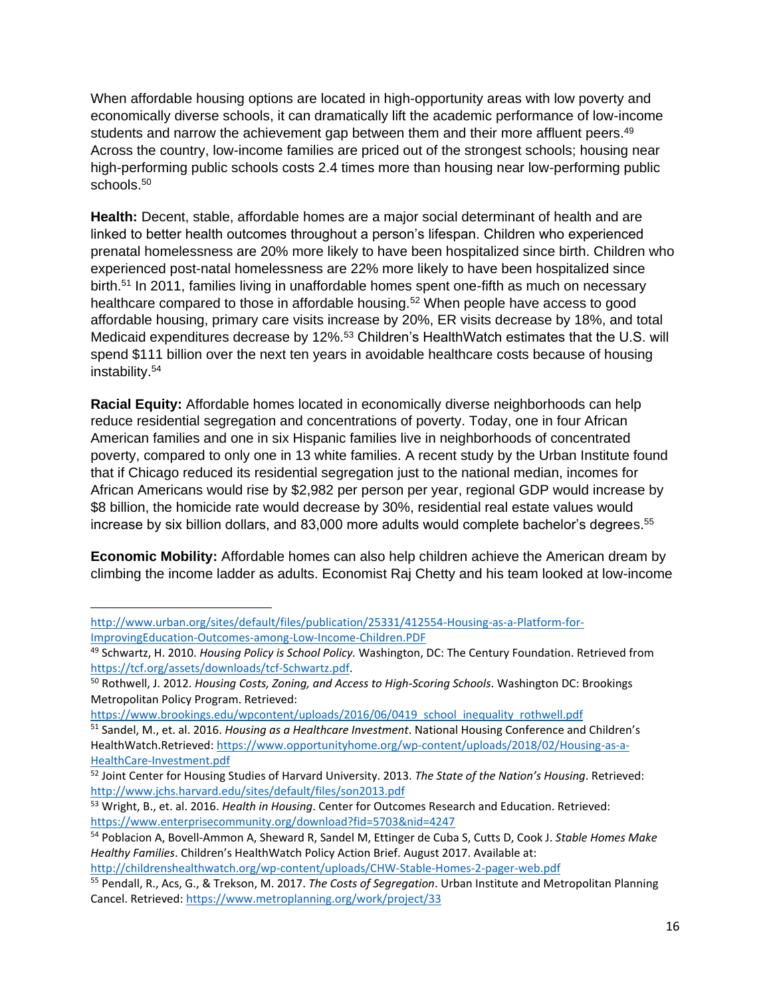When affordable housing options are located in high-opportunity areas with low poverty and economically diverse schools, it can dramatically lift the academic performance of low-income students and narrow the achievement gap between them and their more affluent peers.<sup>49</sup> Across the country, low-income families are priced out of the strongest schools; housing near high-performing public schools costs 2.4 times more than housing near low-performing public schools.<sup>50</sup>

**Health:** Decent, stable, affordable homes are a major social determinant of health and are linked to better health outcomes throughout a person's lifespan. Children who experienced prenatal homelessness are 20% more likely to have been hospitalized since birth. Children who experienced post-natal homelessness are 22% more likely to have been hospitalized since birth.<sup>51</sup> In 2011, families living in unaffordable homes spent one-fifth as much on necessary healthcare compared to those in affordable housing.<sup>52</sup> When people have access to good affordable housing, primary care visits increase by 20%, ER visits decrease by 18%, and total Medicaid expenditures decrease by 12%.<sup>53</sup> Children's HealthWatch estimates that the U.S. will spend \$111 billion over the next ten years in avoidable healthcare costs because of housing instability. 54

**Racial Equity:** Affordable homes located in economically diverse neighborhoods can help reduce residential segregation and concentrations of poverty. Today, one in four African American families and one in six Hispanic families live in neighborhoods of concentrated poverty, compared to only one in 13 white families. A recent study by the Urban Institute found that if Chicago reduced its residential segregation just to the national median, incomes for African Americans would rise by \$2,982 per person per year, regional GDP would increase by \$8 billion, the homicide rate would decrease by 30%, residential real estate values would increase by six billion dollars, and 83,000 more adults would complete bachelor's degrees. 55

**Economic Mobility:** Affordable homes can also help children achieve the American dream by climbing the income ladder as adults. Economist Raj Chetty and his team looked at low-income

<http://childrenshealthwatch.org/wp-content/uploads/CHW-Stable-Homes-2-pager-web.pdf>

[http://www.urban.org/sites/default/files/publication/25331/412554-Housing-as-a-Platform-for-](http://www.urban.org/sites/default/files/publication/25331/412554-Housing-as-a-Platform-for-ImprovingEducation-Outcomes-among-Low-Income-Children.PDF)[ImprovingEducation-Outcomes-among-Low-Income-Children.PDF](http://www.urban.org/sites/default/files/publication/25331/412554-Housing-as-a-Platform-for-ImprovingEducation-Outcomes-among-Low-Income-Children.PDF)

<sup>49</sup> Schwartz, H. 2010. *Housing Policy is School Policy.* Washington, DC: The Century Foundation. Retrieved from [https://tcf.org/assets/downloads/tcf-Schwartz.pdf.](https://tcf.org/assets/downloads/tcf-Schwartz.pdf)

<sup>50</sup> Rothwell, J. 2012. *Housing Costs, Zoning, and Access to High-Scoring Schools*. Washington DC: Brookings Metropolitan Policy Program. Retrieved:

[https://www.brookings.edu/wpcontent/uploads/2016/06/0419\\_school\\_inequality\\_rothwell.pdf](https://www.brookings.edu/wpcontent/uploads/2016/06/0419_school_inequality_rothwell.pdf)

<sup>51</sup> Sandel, M., et. al. 2016. *Housing as a Healthcare Investment*. National Housing Conference and Children's HealthWatch.Retrieved: [https://www.opportunityhome.org/wp-content/uploads/2018/02/Housing-as-a-](https://www.opportunityhome.org/wp-content/uploads/2018/02/Housing-as-a-HealthCare-Investment.pdf)[HealthCare-Investment.pdf](https://www.opportunityhome.org/wp-content/uploads/2018/02/Housing-as-a-HealthCare-Investment.pdf)

<sup>52</sup> Joint Center for Housing Studies of Harvard University. 2013. *The State of the Nation's Housing*. Retrieved: <http://www.jchs.harvard.edu/sites/default/files/son2013.pdf>

<sup>53</sup> Wright, B., et. al. 2016. *Health in Housing*. Center for Outcomes Research and Education. Retrieved: <https://www.enterprisecommunity.org/download?fid=5703&nid=4247>

<sup>54</sup> Poblacion A, Bovell-Ammon A, Sheward R, Sandel M, Ettinger de Cuba S, Cutts D, Cook J. *Stable Homes Make Healthy Families*. Children's HealthWatch Policy Action Brief. August 2017. Available at:

<sup>55</sup> Pendall, R., Acs, G., & Trekson, M. 2017. *The Costs of Segregation*. Urban Institute and Metropolitan Planning Cancel. Retrieved:<https://www.metroplanning.org/work/project/33>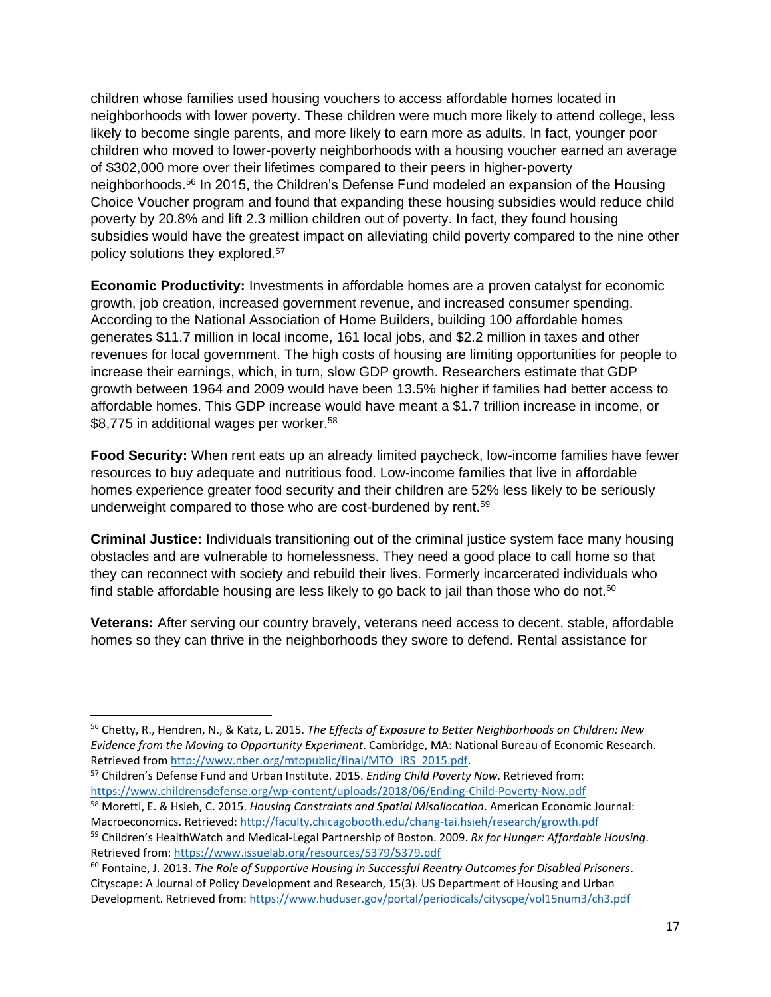children whose families used housing vouchers to access affordable homes located in neighborhoods with lower poverty. These children were much more likely to attend college, less likely to become single parents, and more likely to earn more as adults. In fact, younger poor children who moved to lower-poverty neighborhoods with a housing voucher earned an average of \$302,000 more over their lifetimes compared to their peers in higher-poverty neighborhoods.<sup>56</sup> In 2015, the Children's Defense Fund modeled an expansion of the Housing Choice Voucher program and found that expanding these housing subsidies would reduce child poverty by 20.8% and lift 2.3 million children out of poverty. In fact, they found housing subsidies would have the greatest impact on alleviating child poverty compared to the nine other policy solutions they explored.<sup>57</sup>

**Economic Productivity:** Investments in affordable homes are a proven catalyst for economic growth, job creation, increased government revenue, and increased consumer spending. According to the National Association of Home Builders, building 100 affordable homes generates \$11.7 million in local income, 161 local jobs, and \$2.2 million in taxes and other revenues for local government. The high costs of housing are limiting opportunities for people to increase their earnings, which, in turn, slow GDP growth. Researchers estimate that GDP growth between 1964 and 2009 would have been 13.5% higher if families had better access to affordable homes. This GDP increase would have meant a \$1.7 trillion increase in income, or \$8,775 in additional wages per worker.<sup>58</sup>

**Food Security:** When rent eats up an already limited paycheck, low-income families have fewer resources to buy adequate and nutritious food. Low-income families that live in affordable homes experience greater food security and their children are 52% less likely to be seriously underweight compared to those who are cost-burdened by rent.<sup>59</sup>

**Criminal Justice:** Individuals transitioning out of the criminal justice system face many housing obstacles and are vulnerable to homelessness. They need a good place to call home so that they can reconnect with society and rebuild their lives. Formerly incarcerated individuals who find stable affordable housing are less likely to go back to jail than those who do not.<sup>60</sup>

**Veterans:** After serving our country bravely, veterans need access to decent, stable, affordable homes so they can thrive in the neighborhoods they swore to defend. Rental assistance for

<sup>56</sup> Chetty, R., Hendren, N., & Katz, L. 2015. *The Effects of Exposure to Better Neighborhoods on Children: New Evidence from the Moving to Opportunity Experiment*. Cambridge, MA: National Bureau of Economic Research. Retrieved fro[m http://www.nber.org/mtopublic/final/MTO\\_IRS\\_2015.pdf.](http://www.nber.org/mtopublic/final/MTO_IRS_2015.pdf)

<sup>57</sup> Children's Defense Fund and Urban Institute. 2015. *Ending Child Poverty Now*. Retrieved from: <https://www.childrensdefense.org/wp-content/uploads/2018/06/Ending-Child-Poverty-Now.pdf>

<sup>58</sup> Moretti, E. & Hsieh, C. 2015. *Housing Constraints and Spatial Misallocation*. American Economic Journal: Macroeconomics. Retrieved[: http://faculty.chicagobooth.edu/chang-tai.hsieh/research/growth.pdf](http://faculty.chicagobooth.edu/chang-tai.hsieh/research/growth.pdf) <sup>59</sup> Children's HealthWatch and Medical-Legal Partnership of Boston. 2009. *Rx for Hunger: Affordable Housing*. Retrieved from:<https://www.issuelab.org/resources/5379/5379.pdf>

<sup>60</sup> Fontaine, J. 2013. *The Role of Supportive Housing in Successful Reentry Outcomes for Disabled Prisoners*. Cityscape: A Journal of Policy Development and Research, 15(3). US Department of Housing and Urban Development. Retrieved from:<https://www.huduser.gov/portal/periodicals/cityscpe/vol15num3/ch3.pdf>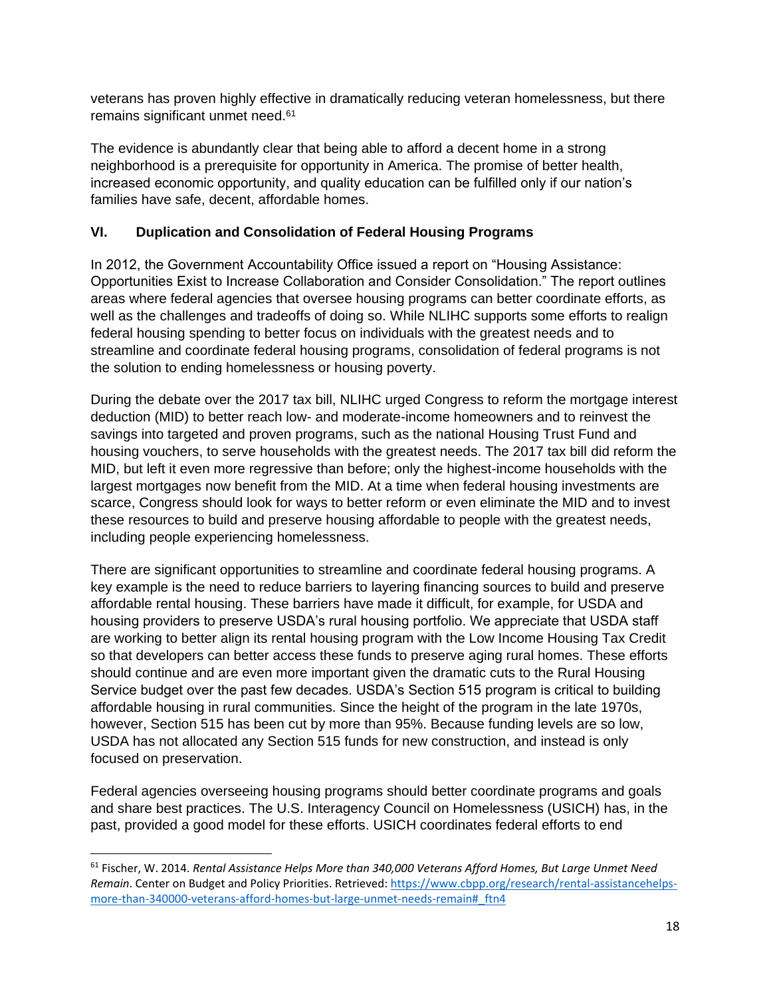veterans has proven highly effective in dramatically reducing veteran homelessness, but there remains significant unmet need.<sup>61</sup>

The evidence is abundantly clear that being able to afford a decent home in a strong neighborhood is a prerequisite for opportunity in America. The promise of better health, increased economic opportunity, and quality education can be fulfilled only if our nation's families have safe, decent, affordable homes.

# **VI. Duplication and Consolidation of Federal Housing Programs**

In 2012, the Government Accountability Office issued a report on "Housing Assistance: Opportunities Exist to Increase Collaboration and Consider Consolidation." The report outlines areas where federal agencies that oversee housing programs can better coordinate efforts, as well as the challenges and tradeoffs of doing so. While NLIHC supports some efforts to realign federal housing spending to better focus on individuals with the greatest needs and to streamline and coordinate federal housing programs, consolidation of federal programs is not the solution to ending homelessness or housing poverty.

During the debate over the 2017 tax bill, NLIHC urged Congress to reform the mortgage interest deduction (MID) to better reach low- and moderate-income homeowners and to reinvest the savings into targeted and proven programs, such as the national Housing Trust Fund and housing vouchers, to serve households with the greatest needs. The 2017 tax bill did reform the MID, but left it even more regressive than before; only the highest-income households with the largest mortgages now benefit from the MID. At a time when federal housing investments are scarce, Congress should look for ways to better reform or even eliminate the MID and to invest these resources to build and preserve housing affordable to people with the greatest needs, including people experiencing homelessness.

There are significant opportunities to streamline and coordinate federal housing programs. A key example is the need to reduce barriers to layering financing sources to build and preserve affordable rental housing. These barriers have made it difficult, for example, for USDA and housing providers to preserve USDA's rural housing portfolio. We appreciate that USDA staff are working to better align its rental housing program with the Low Income Housing Tax Credit so that developers can better access these funds to preserve aging rural homes. These efforts should continue and are even more important given the dramatic cuts to the Rural Housing Service budget over the past few decades. USDA's Section 515 program is critical to building affordable housing in rural communities. Since the height of the program in the late 1970s, however, Section 515 has been cut by more than 95%. Because funding levels are so low, USDA has not allocated any Section 515 funds for new construction, and instead is only focused on preservation.

Federal agencies overseeing housing programs should better coordinate programs and goals and share best practices. The U.S. Interagency Council on Homelessness (USICH) has, in the past, provided a good model for these efforts. USICH coordinates federal efforts to end

<sup>61</sup> Fischer, W. 2014. *Rental Assistance Helps More than 340,000 Veterans Afford Homes, But Large Unmet Need Remain*. Center on Budget and Policy Priorities. Retrieved[: https://www.cbpp.org/research/rental-assistancehelps](https://www.cbpp.org/research/rental-assistancehelps-more-than-340000-veterans-afford-homes-but-large-unmet-needs-remain#_ftn4)[more-than-340000-veterans-afford-homes-but-large-unmet-needs-remain#\\_ftn4](https://www.cbpp.org/research/rental-assistancehelps-more-than-340000-veterans-afford-homes-but-large-unmet-needs-remain#_ftn4)